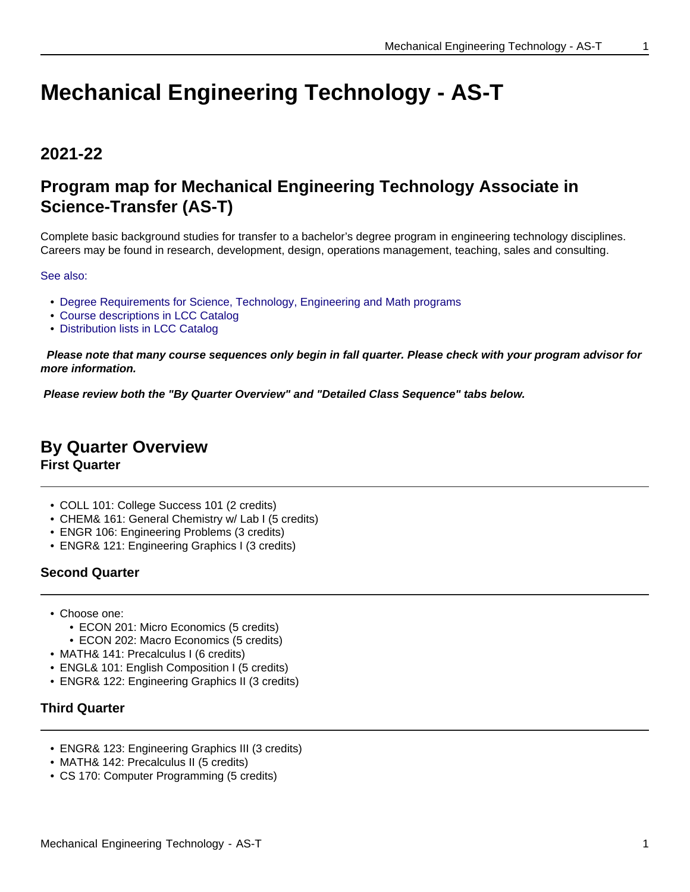# **Mechanical Engineering Technology - AS-T**

# **2021-22**

# **Program map for Mechanical Engineering Technology Associate in Science-Transfer (AS-T)**

Complete basic background studies for transfer to a bachelor's degree program in engineering technology disciplines. Careers may be found in research, development, design, operations management, teaching, sales and consulting.

### See also:

- Degree Requirements for Science, Technology, Engineering and Math programs
- Course descriptions in LCC Catalog
- Distribution lists in LCC Catalog

 **Please note that many course sequences only begin in fall quarter. Please check with your program advisor for more information.**

**Please review both the "By Quarter Overview" and "Detailed Class Sequence" tabs below.**

# **By Quarter Overview**

**First Quarter**

- COLL 101: College Success 101 (2 credits)
- CHEM& 161: General Chemistry w/ Lab I (5 credits)
- ENGR 106: Engineering Problems (3 credits)
- ENGR& 121: Engineering Graphics I (3 credits)

# **Second Quarter**

- Choose one:
	- ECON 201: Micro Economics (5 credits)
	- ECON 202: Macro Economics (5 credits)
- MATH& 141: Precalculus I (6 credits)
- ENGL& 101: English Composition I (5 credits)
- ENGR& 122: Engineering Graphics II (3 credits)

## **Third Quarter**

- ENGR& 123: Engineering Graphics III (3 credits)
- MATH& 142: Precalculus II (5 credits)
- CS 170: Computer Programming (5 credits)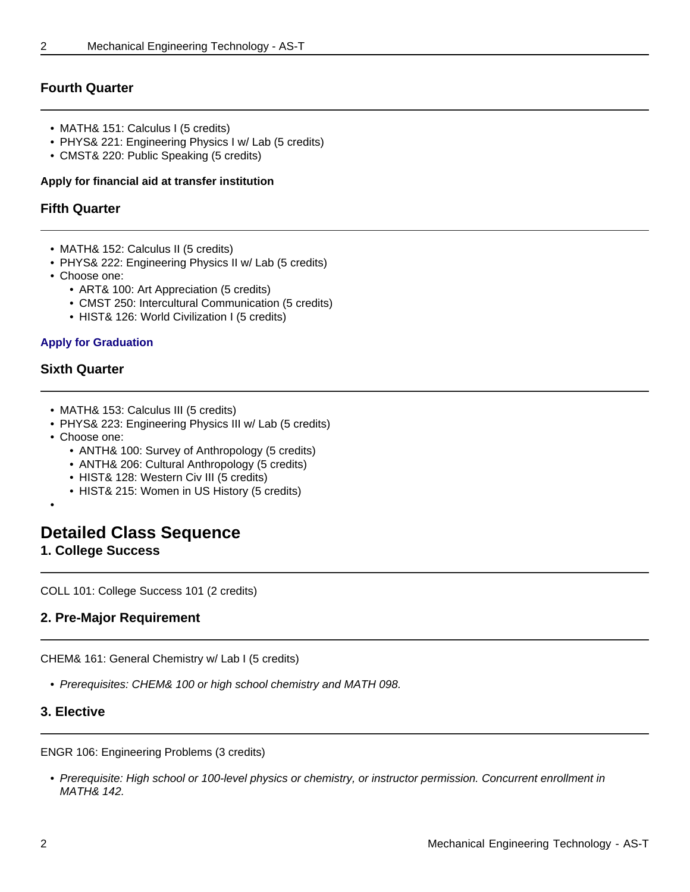# **Fourth Quarter**

- MATH& 151: Calculus I (5 credits)
- PHYS& 221: Engineering Physics I w/ Lab (5 credits)
- CMST& 220: Public Speaking (5 credits)

#### **Apply for financial aid at transfer institution**

#### **Fifth Quarter**

- MATH& 152: Calculus II (5 credits)
- PHYS& 222: Engineering Physics II w/ Lab (5 credits)
- Choose one:
	- ART& 100: Art Appreciation (5 credits)
		- CMST 250: Intercultural Communication (5 credits)
		- HIST& 126: World Civilization I (5 credits)

#### **Apply for Graduation**

#### **Sixth Quarter**

- MATH& 153: Calculus III (5 credits)
- PHYS& 223: Engineering Physics III w/ Lab (5 credits)
- Choose one:
	- ANTH& 100: Survey of Anthropology (5 credits)
	- ANTH& 206: Cultural Anthropology (5 credits)
	- HIST& 128: Western Civ III (5 credits)
	- HIST& 215: Women in US History (5 credits)
- •

# **Detailed Class Sequence**

**1. College Success**

COLL 101: College Success 101 (2 credits)

## **2. Pre-Major Requirement**

CHEM& 161: General Chemistry w/ Lab I (5 credits)

• Prerequisites: CHEM& 100 or high school chemistry and MATH 098.

#### **3. Elective**

ENGR 106: Engineering Problems (3 credits)

• Prerequisite: High school or 100-level physics or chemistry, or instructor permission. Concurrent enrollment in MATH& 142.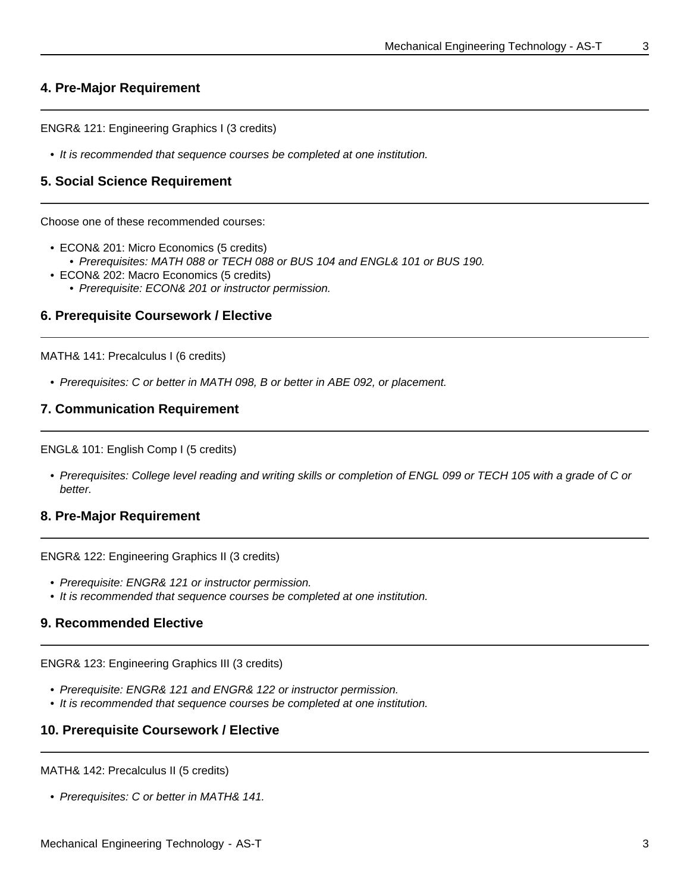#### **4. Pre-Major Requirement**

ENGR& 121: Engineering Graphics I (3 credits)

• It is recommended that sequence courses be completed at one institution.

#### **5. Social Science Requirement**

Choose one of these recommended courses:

- ECON& 201: Micro Economics (5 credits)
	- Prerequisites: MATH 088 or TECH 088 or BUS 104 and ENGL& 101 or BUS 190.
- ECON& 202: Macro Economics (5 credits)
	- Prerequisite: ECON& 201 or instructor permission.

#### **6. Prerequisite Coursework / Elective**

MATH& 141: Precalculus I (6 credits)

• Prerequisites: C or better in MATH 098, B or better in ABE 092, or placement.

### **7. Communication Requirement**

ENGL& 101: English Comp I (5 credits)

• Prerequisites: College level reading and writing skills or completion of ENGL 099 or TECH 105 with a grade of C or better.

#### **8. Pre-Major Requirement**

ENGR& 122: Engineering Graphics II (3 credits)

- Prerequisite: ENGR& 121 or instructor permission.
- It is recommended that sequence courses be completed at one institution.

#### **9. Recommended Elective**

ENGR& 123: Engineering Graphics III (3 credits)

- Prerequisite: ENGR& 121 and ENGR& 122 or instructor permission.
- It is recommended that sequence courses be completed at one institution.

#### **10. Prerequisite Coursework / Elective**

MATH& 142: Precalculus II (5 credits)

• Prerequisites: C or better in MATH& 141.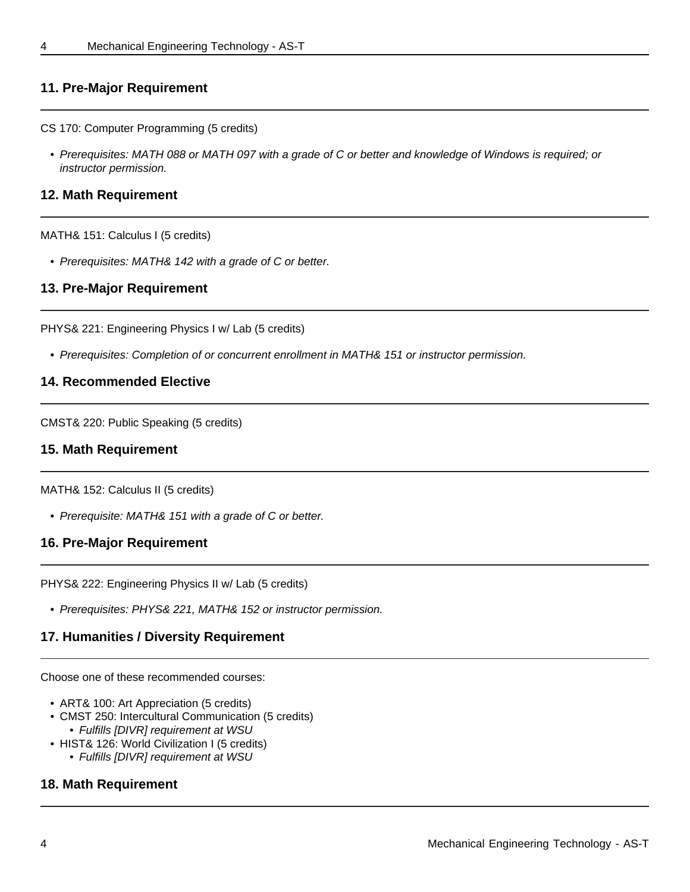## **11. Pre-Major Requirement**

CS 170: Computer Programming (5 credits)

• Prerequisites: MATH 088 or MATH 097 with a grade of C or better and knowledge of Windows is required; or instructor permission.

#### **12. Math Requirement**

#### MATH& 151: Calculus I (5 credits)

• Prerequisites: MATH& 142 with a grade of C or better.

#### **13. Pre-Major Requirement**

PHYS& 221: Engineering Physics I w/ Lab (5 credits)

• Prerequisites: Completion of or concurrent enrollment in MATH& 151 or instructor permission.

#### **14. Recommended Elective**

CMST& 220: Public Speaking (5 credits)

#### **15. Math Requirement**

MATH& 152: Calculus II (5 credits)

• Prerequisite: MATH& 151 with a grade of C or better.

#### **16. Pre-Major Requirement**

PHYS& 222: Engineering Physics II w/ Lab (5 credits)

• Prerequisites: PHYS& 221, MATH& 152 or instructor permission.

## **17. Humanities / Diversity Requirement**

Choose one of these recommended courses:

- ART& 100: Art Appreciation (5 credits)
- CMST 250: Intercultural Communication (5 credits) • Fulfills [DIVR] requirement at WSU
- HIST& 126: World Civilization I (5 credits) • Fulfills [DIVR] requirement at WSU

#### **18. Math Requirement**